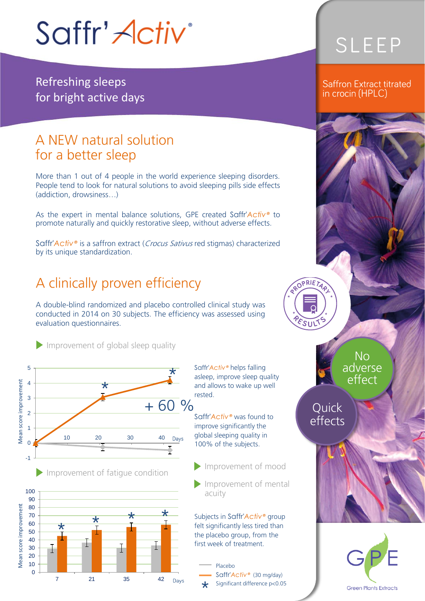# Saffr' Activ<sup>®</sup>

Refreshing sleeps for bright active days

# A NEW natural solution<br>for a better sleep

More than 1 out of 4 people in the world experience sleeping disorders. People tend to look for natural solutions to avoid sleeping pills side effects. (addiction, drowsiness...)  $\sqrt{a}$ 

As the expert in mental balance solutions, GPE created Saffr'*Activ®* to promote naturally and quickly restorative sleep, without adverse effects.

Saffr'*Activ®* is a saffron extract (Crocus Sativus red stigmas) characterized by its unique standardization.

### A clinically proven efficiency

A double-blind randomized and placebo controlled clinical study was conducted in 2014 on 30 subjects. The efficiency was assessed using conducted in 2014 on 30 subjects. The efficiency was assessed using evaluation questionnaires.

Improvement of global sleep quality







Saffr'*Activ®* helps falling and allows to wake up well rested.

Saffr'*Activ®* was found to global sleeping quality in 100% of the subjects. 100% of the subjects.

Improvement of mood

Improvement of mental<br>acuity acuity

Subjects in Saffr'*Activ®* group the placebo group, from the first week of treatment

Saffr'*Activ*<sup>®</sup> (30 mg/day) Significant difference p<0.05 \*

## SLEEP

#### Saffron Extract titrated in crocin (HPLC)



Quick<br>effects

**PRIET** 

ווויז.